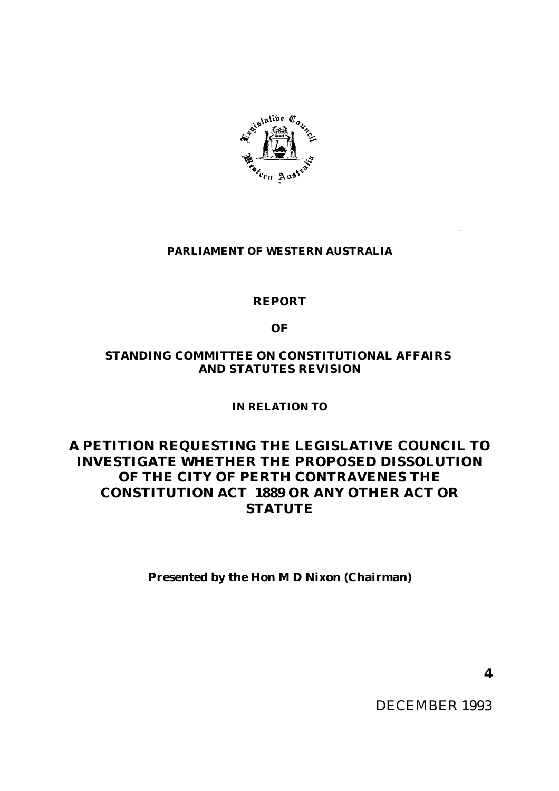

# **PARLIAMENT OF WESTERN AUSTRALIA**

# **REPORT**

**OF**

# **STANDING COMMITTEE ON CONSTITUTIONAL AFFAIRS AND STATUTES REVISION**

**IN RELATION TO**

# **A PETITION REQUESTING THE LEGISLATIVE COUNCIL TO INVESTIGATE WHETHER THE PROPOSED DISSOLUTION OF THE CITY OF PERTH CONTRAVENES THE CONSTITUTION ACT 1889 OR ANY OTHER ACT OR STATUTE**

**Presented by the Hon M D Nixon (Chairman)**

**4**

DECEMBER 1993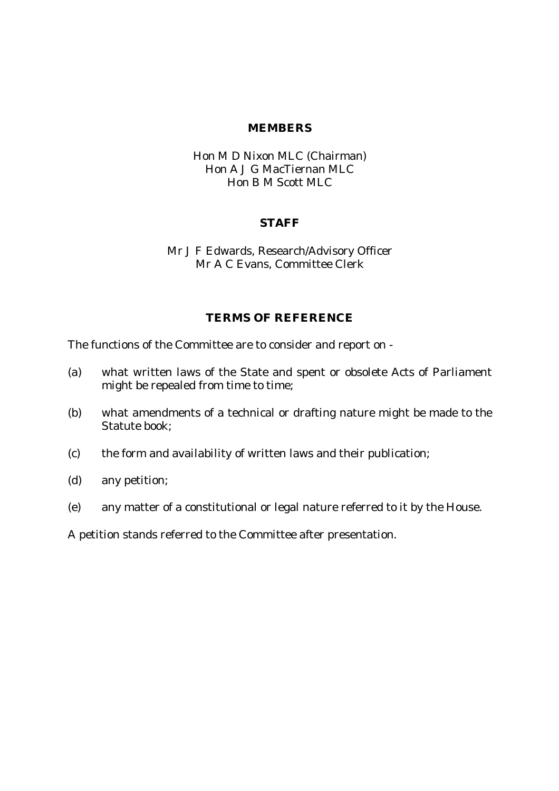#### **MEMBERS**

### Hon M D Nixon MLC (Chairman) Hon A J G MacTiernan MLC Hon B M Scott MLC

#### **STAFF**

### Mr J F Edwards, Research/Advisory Officer Mr A C Evans, Committee Clerk

# **TERMS OF REFERENCE**

The functions of the Committee are to consider and report on -

- (a) what written laws of the State and spent or obsolete Acts of Parliament might be repealed from time to time;
- (b) what amendments of a technical or drafting nature might be made to the Statute book;
- (c) the form and availability of written laws and their publication;
- (d) any petition;
- (e) any matter of a constitutional or legal nature referred to it by the House.

A petition stands referred to the Committee after presentation.